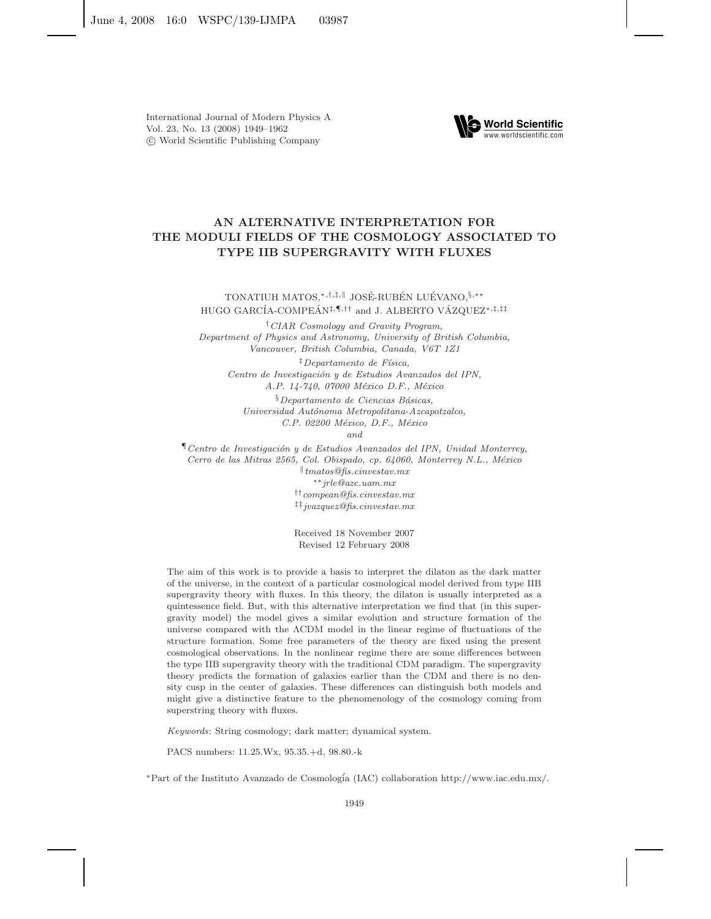

# **AN ALTERNATIVE INTERPRETATION FOR THE MODULI FIELDS OF THE COSMOLOGY ASSOCIATED TO TYPE IIB SUPERGRAVITY WITH FLUXES**

TONATIUH MATOS,\*<sup>,†,‡,∥</sup> JOSÉ-RUBÉN LUÉVANO,<sup>§,</sup>\*\* HUGO GARCÍA-COMPEÁN<sup>‡,¶</sup>,<sup>††</sup> and J. ALBERTO VÁZQUEZ<sup>\*,‡,‡‡</sup>

†*CIAR Cosmology and Gravity Program, Department of Physics and Astronomy, University of British Columbia, Vancouver, British Columbia, Canada, V6T 1Z1*

‡*Departamento de F´ısica, Centro de Investigaci´on y de Estudios Avanzados del IPN, A.P. 14-740, 07000 M´exico D.F., M´exico*

§*Departamento de Ciencias B´asicas, Universidad Aut´onoma Metropolitana-Azcapotzalco, C.P. 02200 M´exico, D.F., M´exico*

*and*

¶*Centro de Investigaci´on y de Estudios Avanzados del IPN, Unidad Monterrey, Cerro de las Mitras 2565, Col. Obispado, cp. 64060, Monterrey N.L., M´exico* -*tmatos@fis.cinvestav.mx* ∗∗*jrle@azc.uam.mx* ††*compean@fis.cinvestav.mx*

‡‡*jvazquez@fis.cinvestav.mx*

Received 18 November 2007 Revised 12 February 2008

The aim of this work is to provide a basis to interpret the dilaton as the dark matter of the universe, in the context of a particular cosmological model derived from type IIB supergravity theory with fluxes. In this theory, the dilaton is usually interpreted as a quintessence field. But, with this alternative interpretation we find that (in this supergravity model) the model gives a similar evolution and structure formation of the universe compared with the ΛCDM model in the linear regime of fluctuations of the structure formation. Some free parameters of the theory are fixed using the present cosmological observations. In the nonlinear regime there are some differences between the type IIB supergravity theory with the traditional CDM paradigm. The supergravity theory predicts the formation of galaxies earlier than the CDM and there is no density cusp in the center of galaxies. These differences can distinguish both models and might give a distinctive feature to the phenomenology of the cosmology coming from superstring theory with fluxes.

*Keywords*: String cosmology; dark matter; dynamical system.

PACS numbers: 11.25.Wx, 95.35.+d, 98.80.-k

<sup>∗</sup>Part of the Instituto Avanzado de Cosmolog´ia (IAC) collaboration http://www.iac.edu.mx/.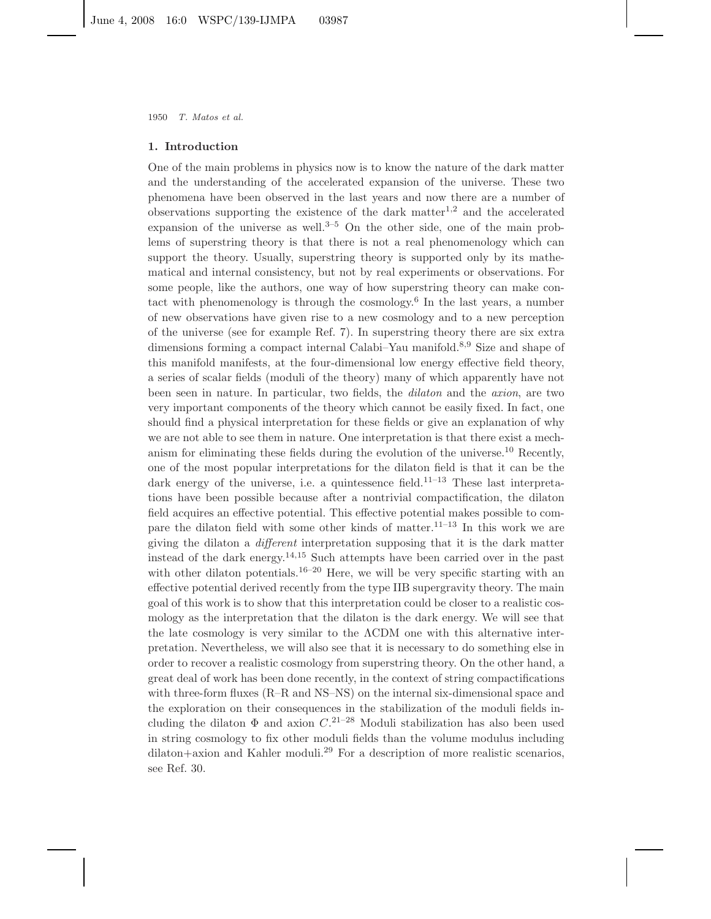## **1. Introduction**

One of the main problems in physics now is to know the nature of the dark matter and the understanding of the accelerated expansion of the universe. These two phenomena have been observed in the last years and now there are a number of observations supporting the existence of the dark matter<sup>1,2</sup> and the accelerated expansion of the universe as well.<sup>3–5</sup> On the other side, one of the main problems of superstring theory is that there is not a real phenomenology which can support the theory. Usually, superstring theory is supported only by its mathematical and internal consistency, but not by real experiments or observations. For some people, like the authors, one way of how superstring theory can make contact with phenomenology is through the cosmology.<sup>6</sup> In the last years, a number of new observations have given rise to a new cosmology and to a new perception of the universe (see for example Ref. 7). In superstring theory there are six extra dimensions forming a compact internal Calabi–Yau manifold.8,9 Size and shape of this manifold manifests, at the four-dimensional low energy effective field theory, a series of scalar fields (moduli of the theory) many of which apparently have not been seen in nature. In particular, two fields, the *dilaton* and the *axion*, are two very important components of the theory which cannot be easily fixed. In fact, one should find a physical interpretation for these fields or give an explanation of why we are not able to see them in nature. One interpretation is that there exist a mechanism for eliminating these fields during the evolution of the universe.<sup>10</sup> Recently, one of the most popular interpretations for the dilaton field is that it can be the dark energy of the universe, i.e. a quintessence field.<sup>11–13</sup> These last interpretations have been possible because after a nontrivial compactification, the dilaton field acquires an effective potential. This effective potential makes possible to compare the dilaton field with some other kinds of matter.<sup>11–13</sup> In this work we are giving the dilaton a *different* interpretation supposing that it is the dark matter instead of the dark energy.<sup>14,15</sup> Such attempts have been carried over in the past with other dilaton potentials.<sup>16–20</sup> Here, we will be very specific starting with an effective potential derived recently from the type IIB supergravity theory. The main goal of this work is to show that this interpretation could be closer to a realistic cosmology as the interpretation that the dilaton is the dark energy. We will see that the late cosmology is very similar to the  $\Lambda$ CDM one with this alternative interpretation. Nevertheless, we will also see that it is necessary to do something else in order to recover a realistic cosmology from superstring theory. On the other hand, a great deal of work has been done recently, in the context of string compactifications with three-form fluxes (R–R and NS–NS) on the internal six-dimensional space and the exploration on their consequences in the stabilization of the moduli fields including the dilaton  $\Phi$  and axion  $C$ <sup>21–28</sup> Moduli stabilization has also been used in string cosmology to fix other moduli fields than the volume modulus including  $dilaton + axion$  and Kahler moduli.<sup>29</sup> For a description of more realistic scenarios, see Ref. 30.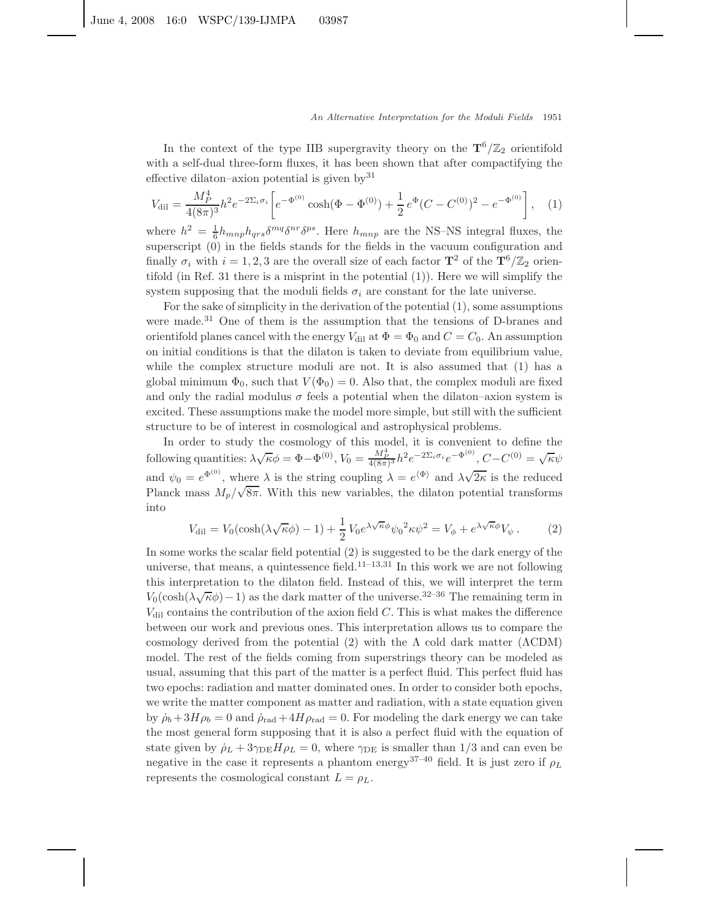In the context of the type IIB supergravity theory on the  $\mathbf{T}^6/\mathbb{Z}_2$  orientifold with a self-dual three-form fluxes, it has been shown that after compactifying the effective dilaton–axion potential is given by  $31$ 

$$
V_{\text{dil}} = \frac{M_P^4}{4(8\pi)^3} h^2 e^{-2\Sigma_i \sigma_i} \left[ e^{-\Phi^{(0)}} \cosh(\Phi - \Phi^{(0)}) + \frac{1}{2} e^{\Phi} (C - C^{(0)})^2 - e^{-\Phi^{(0)}} \right], \quad (1)
$$

where  $h^2 = \frac{1}{6}h_{mnp}h_{qrs}\delta^{mq}\delta^{nr}\delta^{ps}$ . Here  $h_{mnp}$  are the NS–NS integral fluxes, the superscript (0) in the fields stands for the fields in the vacuum configuration and finally  $\sigma_i$  with  $i = 1, 2, 3$  are the overall size of each factor  $\mathbf{T}^2$  of the  $\mathbf{T}^6/\mathbb{Z}_2$  orientifold (in Ref. 31 there is a misprint in the potential  $(1)$ ). Here we will simplify the system supposing that the moduli fields  $\sigma_i$  are constant for the late universe.

For the sake of simplicity in the derivation of the potential (1), some assumptions were made.<sup>31</sup> One of them is the assumption that the tensions of D-branes and orientifold planes cancel with the energy  $V_{\text{dil}}$  at  $\Phi = \Phi_0$  and  $C = C_0$ . An assumption on initial conditions is that the dilaton is taken to deviate from equilibrium value, while the complex structure moduli are not. It is also assumed that (1) has a global minimum  $\Phi_0$ , such that  $V(\Phi_0) = 0$ . Also that, the complex moduli are fixed and only the radial modulus  $\sigma$  feels a potential when the dilaton–axion system is excited. These assumptions make the model more simple, but still with the sufficient structure to be of interest in cosmological and astrophysical problems.

In order to study the cosmology of this model, it is convenient to define the following quantities:  $\lambda \sqrt{\kappa} \phi = \Phi - \Phi^{(0)}$ ,  $V_0 = \frac{M_P^4}{4(8\pi)^3} h^2 e^{-2\Sigma_i \sigma_i} e^{-\Phi^{(0)}}, C - C^{(0)} = \sqrt{\kappa} \psi$ and  $\psi_0 = e^{\Phi^{(0)}}$ , where  $\lambda$  is the string coupling  $\lambda = e^{\langle \Phi \rangle}$  and  $\lambda \sqrt{2\kappa}$  is the reduced Planck mass  $M_p/\sqrt{8\pi}$ . With this new variables, the dilaton potential transforms into

$$
V_{\text{dil}} = V_0(\cosh(\lambda \sqrt{\kappa} \phi) - 1) + \frac{1}{2} V_0 e^{\lambda \sqrt{\kappa} \phi} \psi_0^2 \kappa \psi^2 = V_\phi + e^{\lambda \sqrt{\kappa} \phi} V_\psi. \tag{2}
$$

In some works the scalar field potential (2) is suggested to be the dark energy of the universe, that means, a quintessence field.<sup>11–13,31</sup> In this work we are not following this interpretation to the dilaton field. Instead of this, we will interpret the term  $V_0(\cosh(\lambda \sqrt{\kappa}\phi) - 1)$  as the dark matter of the universe.<sup>32–36</sup> The remaining term in  $V_{\text{dil}}$  contains the contribution of the axion field *C*. This is what makes the difference between our work and previous ones. This interpretation allows us to compare the cosmology derived from the potential (2) with the  $\Lambda$  cold dark matter ( $\Lambda$ CDM) model. The rest of the fields coming from superstrings theory can be modeled as usual, assuming that this part of the matter is a perfect fluid. This perfect fluid has two epochs: radiation and matter dominated ones. In order to consider both epochs, we write the matter component as matter and radiation, with a state equation given by  $\dot{\rho}_b + 3H\rho_b = 0$  and  $\dot{\rho}_{rad} + 4H\rho_{rad} = 0$ . For modeling the dark energy we can take the most general form supposing that it is also a perfect fluid with the equation of state given by  $\dot{\rho}_L + 3\gamma_{\text{DE}}H\rho_L = 0$ , where  $\gamma_{\text{DE}}$  is smaller than 1/3 and can even be negative in the case it represents a phantom energy<sup>37–40</sup> field. It is just zero if  $\rho_L$ represents the cosmological constant  $L = \rho_L$ .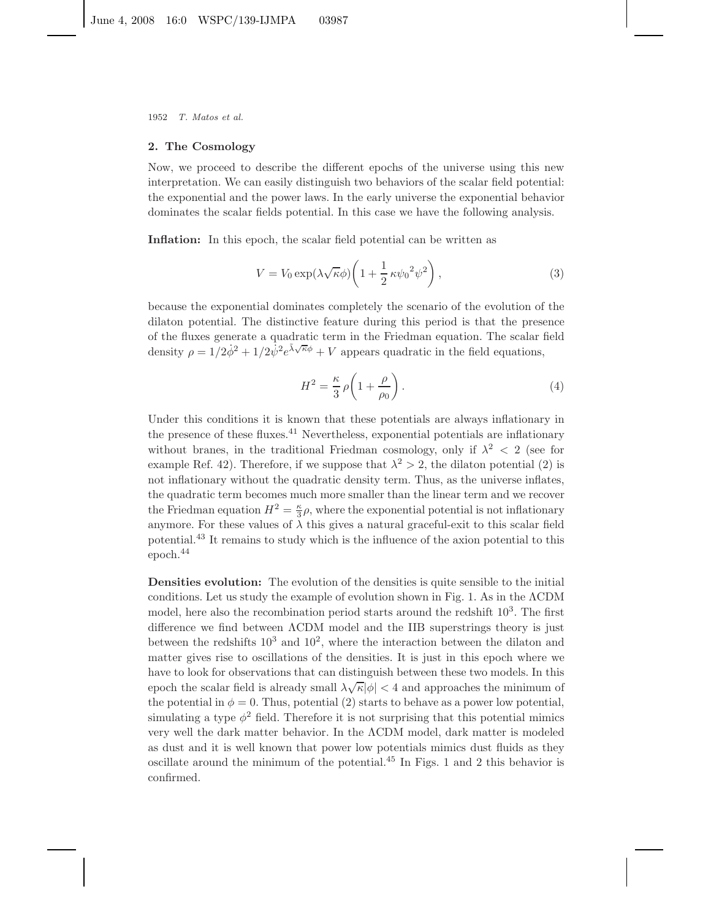1952 *T. Matos et al.*

#### **2. The Cosmology**

Now, we proceed to describe the different epochs of the universe using this new interpretation. We can easily distinguish two behaviors of the scalar field potential: the exponential and the power laws. In the early universe the exponential behavior dominates the scalar fields potential. In this case we have the following analysis.

Inflation: In this epoch, the scalar field potential can be written as

$$
V = V_0 \exp(\lambda \sqrt{\kappa} \phi) \left( 1 + \frac{1}{2} \kappa \psi_0^2 \psi^2 \right),\tag{3}
$$

because the exponential dominates completely the scenario of the evolution of the dilaton potential. The distinctive feature during this period is that the presence of the fluxes generate a quadratic term in the Friedman equation. The scalar field density  $\rho = 1/2\dot{\phi}^2 + 1/2\dot{\psi}^2 e^{\lambda \sqrt{\kappa} \phi} + V$  appears quadratic in the field equations,

$$
H^2 = \frac{\kappa}{3} \rho \left( 1 + \frac{\rho}{\rho_0} \right). \tag{4}
$$

Under this conditions it is known that these potentials are always inflationary in the presence of these fluxes.<sup>41</sup> Nevertheless, exponential potentials are inflationary without branes, in the traditional Friedman cosmology, only if  $\lambda^2$  < 2 (see for example Ref. 42). Therefore, if we suppose that  $\lambda^2 > 2$ , the dilaton potential (2) is not inflationary without the quadratic density term. Thus, as the universe inflates, the quadratic term becomes much more smaller than the linear term and we recover the Friedman equation  $H^2 = \frac{\kappa}{3} \rho$ , where the exponential potential is not inflationary anymore. For these values of  $\lambda$  this gives a natural graceful-exit to this scalar field potential.<sup>43</sup> It remains to study which is the influence of the axion potential to this epoch.<sup>44</sup>

**Densities evolution:** The evolution of the densities is quite sensible to the initial conditions. Let us study the example of evolution shown in Fig. 1. As in the ΛCDM model, here also the recombination period starts around the redshift  $10<sup>3</sup>$ . The first difference we find between ΛCDM model and the IIB superstrings theory is just between the redshifts  $10^3$  and  $10^2$ , where the interaction between the dilaton and matter gives rise to oscillations of the densities. It is just in this epoch where we have to look for observations that can distinguish between these two models. In this epoch the scalar field is already small  $\lambda \sqrt{\kappa} |\phi| < 4$  and approaches the minimum of the potential in  $\phi = 0$ . Thus, potential (2) starts to behave as a power low potential, simulating a type  $\phi^2$  field. Therefore it is not surprising that this potential mimics very well the dark matter behavior. In the ΛCDM model, dark matter is modeled as dust and it is well known that power low potentials mimics dust fluids as they oscillate around the minimum of the potential.<sup>45</sup> In Figs. 1 and 2 this behavior is confirmed.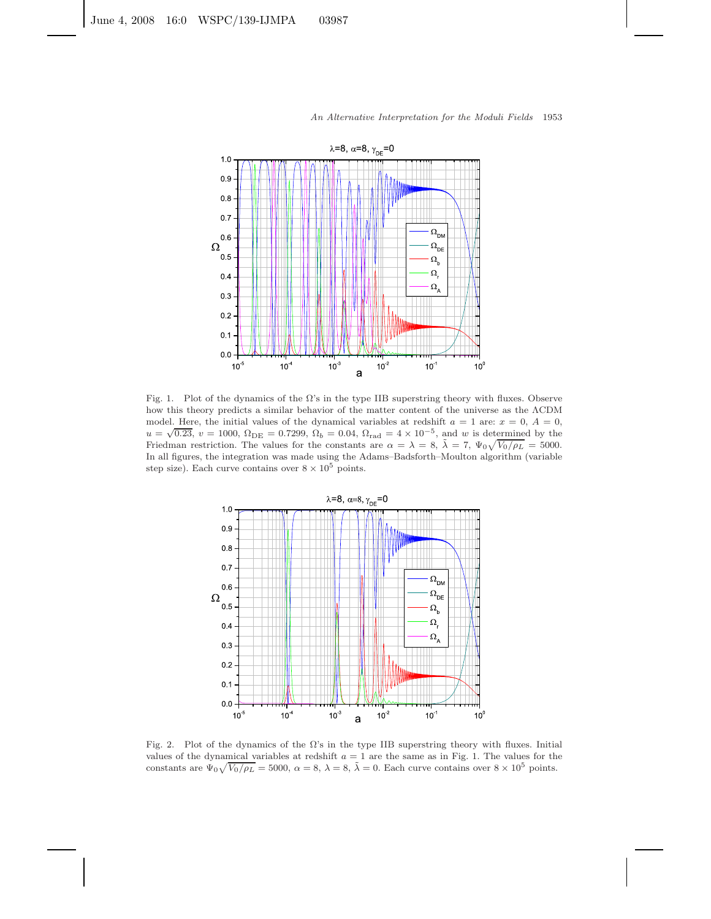

Fig. 1. Plot of the dynamics of the  $\Omega$ 's in the type IIB superstring theory with fluxes. Observe how this theory predicts a similar behavior of the matter content of the universe as the ΛCDM model. Here, the initial values of the dynamical variables at redshift  $a = 1$  are:  $x = 0, A = 0$ ,  $u = \sqrt{0.23}$ ,  $v = 1000$ ,  $\Omega_{\rm DE} = 0.7299$ ,  $\Omega_b = 0.04$ ,  $\Omega_{\rm rad} = 4 \times 10^{-5}$ , and w is determined by the Friedman restriction. The values for the constants are  $\alpha = \lambda = 8$ ,  $\tilde{\lambda} = 7$ ,  $\Psi_0 \sqrt{V_0/\rho_L} = 5000$ . In all figures, the integration was made using the Adams–Badsforth–Moulton algorithm (variable step size). Each curve contains over  $8 \times 10^5$  points.



Fig. 2. Plot of the dynamics of the  $\Omega$ 's in the type IIB superstring theory with fluxes. Initial values of the dynamical variables at redshift  $a = 1$  are the same as in Fig. 1. The values for the constants are  $\Psi_0 \sqrt{V_0/\rho_L} = 5000$ ,  $\alpha = 8$ ,  $\lambda = 8$ ,  $\tilde{\lambda} = 0$ . Each curve contains over  $8 \times 10^5$  points.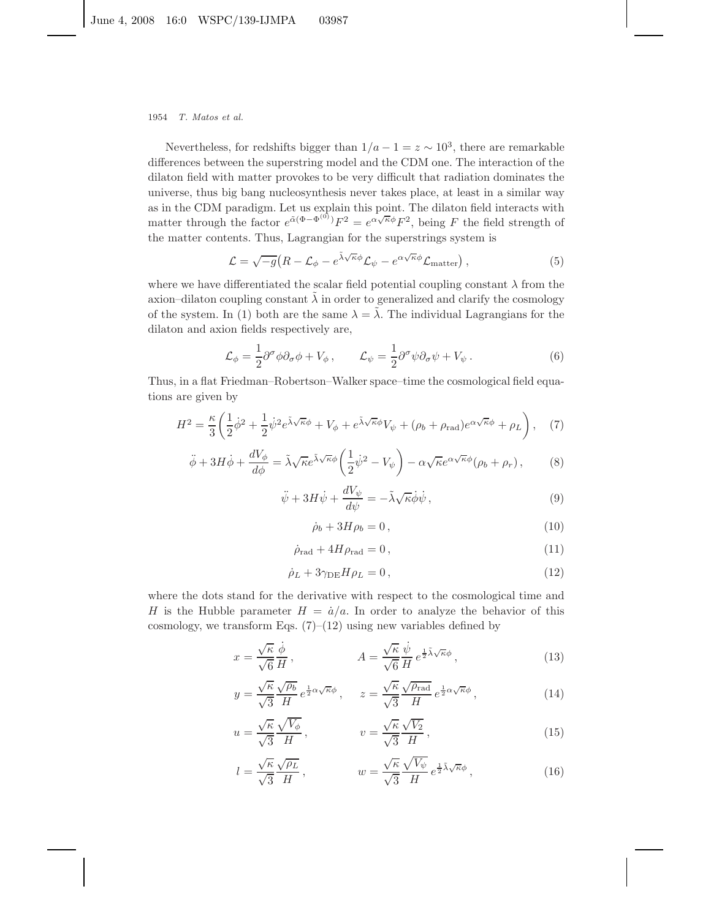#### 1954 *T. Matos et al.*

Nevertheless, for redshifts bigger than  $1/a - 1 = z \sim 10^3$ , there are remarkable differences between the superstring model and the CDM one. The interaction of the dilaton field with matter provokes to be very difficult that radiation dominates the universe, thus big bang nucleosynthesis never takes place, at least in a similar way as in the CDM paradigm. Let us explain this point. The dilaton field interacts with matter through the factor  $e^{\tilde{\alpha}(\Phi - \Phi^{(0)})} F^2 = e^{\alpha \sqrt{\kappa} \phi} F^2$ , being *F* the field strength of the matter contents. Thus, Lagrangian for the superstrings system is

$$
\mathcal{L} = \sqrt{-g} \left( R - \mathcal{L}_{\phi} - e^{\tilde{\lambda}\sqrt{\kappa}\phi} \mathcal{L}_{\psi} - e^{\alpha\sqrt{\kappa}\phi} \mathcal{L}_{\text{matter}} \right), \tag{5}
$$

where we have differentiated the scalar field potential coupling constant  $\lambda$  from the axion–dilaton coupling constant  $\lambda$  in order to generalized and clarify the cosmology of the system. In (1) both are the same  $\lambda = \lambda$ . The individual Lagrangians for the dilaton and axion fields respectively are,

$$
\mathcal{L}_{\phi} = \frac{1}{2} \partial^{\sigma} \phi \partial_{\sigma} \phi + V_{\phi} , \qquad \mathcal{L}_{\psi} = \frac{1}{2} \partial^{\sigma} \psi \partial_{\sigma} \psi + V_{\psi} . \tag{6}
$$

Thus, in a flat Friedman–Robertson–Walker space–time the cosmological field equations are given by

$$
H^2 = \frac{\kappa}{3} \left( \frac{1}{2} \dot{\phi}^2 + \frac{1}{2} \dot{\psi}^2 e^{\tilde{\lambda}\sqrt{\kappa}\phi} + V_{\phi} + e^{\tilde{\lambda}\sqrt{\kappa}\phi} V_{\psi} + (\rho_b + \rho_{\rm rad}) e^{\alpha\sqrt{\kappa}\phi} + \rho_L \right), \quad (7)
$$

$$
\ddot{\phi} + 3H\dot{\phi} + \frac{dV_{\phi}}{d\phi} = \tilde{\lambda}\sqrt{\kappa}e^{\tilde{\lambda}\sqrt{\kappa}\phi}\left(\frac{1}{2}\dot{\psi}^{2} - V_{\psi}\right) - \alpha\sqrt{\kappa}e^{\alpha\sqrt{\kappa}\phi}(\rho_{b} + \rho_{r}),\tag{8}
$$

$$
\ddot{\psi} + 3H\dot{\psi} + \frac{dV_{\psi}}{d\psi} = -\tilde{\lambda}\sqrt{\kappa}\dot{\phi}\dot{\psi},\qquad(9)
$$

$$
\dot{\rho}_b + 3H\rho_b = 0, \qquad (10)
$$

$$
\dot{\rho}_{\rm rad} + 4H\rho_{\rm rad} = 0, \qquad (11)
$$

$$
\dot{\rho}_L + 3\gamma_{\text{DE}} H \rho_L = 0, \qquad (12)
$$

where the dots stand for the derivative with respect to the cosmological time and *H* is the Hubble parameter  $H = \dot{a}/a$ . In order to analyze the behavior of this cosmology, we transform Eqs.  $(7)$ – $(12)$  using new variables defined by

$$
x = \frac{\sqrt{\kappa}}{\sqrt{6}} \frac{\dot{\phi}}{H}, \qquad A = \frac{\sqrt{\kappa}}{\sqrt{6}} \frac{\dot{\psi}}{H} e^{\frac{1}{2}\tilde{\lambda}\sqrt{\kappa}\phi}, \qquad (13)
$$

$$
y = \frac{\sqrt{\kappa}}{\sqrt{3}} \frac{\sqrt{\rho_b}}{H} e^{\frac{1}{2}\alpha\sqrt{\kappa}\phi}, \qquad z = \frac{\sqrt{\kappa}}{\sqrt{3}} \frac{\sqrt{\rho_{\text{rad}}}}{H} e^{\frac{1}{2}\alpha\sqrt{\kappa}\phi}, \tag{14}
$$

$$
u = \frac{\sqrt{\kappa}}{\sqrt{3}} \frac{\sqrt{V_{\phi}}}{H}, \qquad v = \frac{\sqrt{\kappa}}{\sqrt{3}} \frac{\sqrt{V_{2}}}{H}, \qquad (15)
$$

$$
l = \frac{\sqrt{\kappa}}{\sqrt{3}} \frac{\sqrt{\rho_L}}{H}, \qquad w = \frac{\sqrt{\kappa}}{\sqrt{3}} \frac{\sqrt{V_{\psi}}}{H} e^{\frac{1}{2}\tilde{\lambda}\sqrt{\kappa}\phi}, \qquad (16)
$$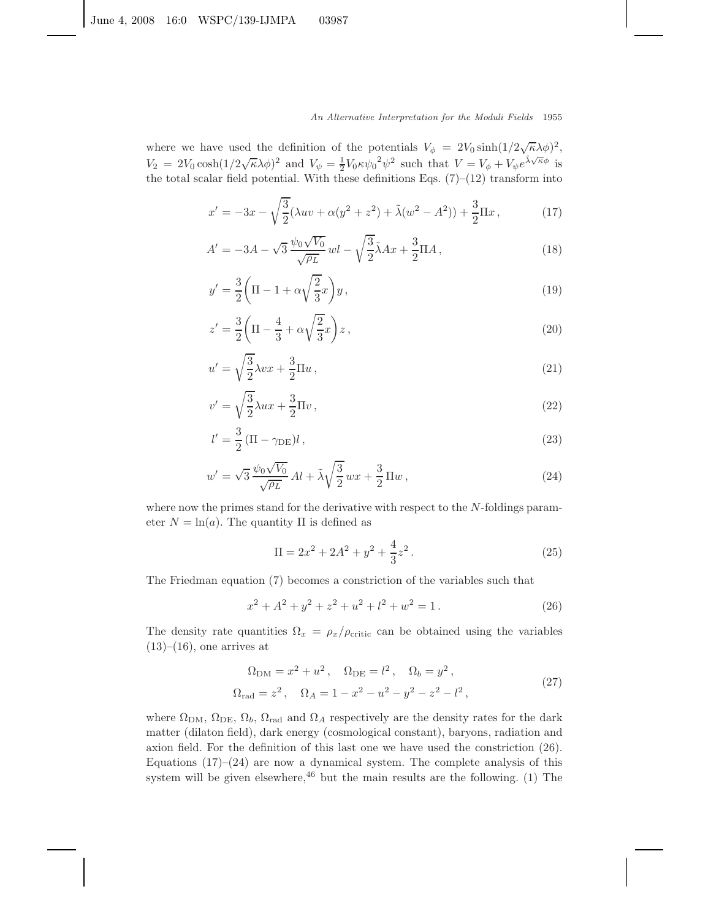where we have used the definition of the potentials  $V_{\phi} = 2V_0 \sinh\left(\frac{1}{2}\sqrt{\kappa}\lambda\phi\right)^2$ ,  $V_2 = 2V_0 \cosh(1/2\sqrt{\kappa}\lambda\phi)^2$  and  $V_\psi = \frac{1}{2}V_0\kappa\psi_0^2\psi^2$  such that  $V = V_\phi + V_\psi e^{\tilde{\lambda}\sqrt{\kappa}\phi}$  is the total scalar field potential. With these definitions Eqs.  $(7)-(12)$  transform into

$$
x' = -3x - \sqrt{\frac{3}{2}}(\lambda uv + \alpha(y^2 + z^2) + \tilde{\lambda}(w^2 - A^2)) + \frac{3}{2}\Pi x, \qquad (17)
$$

$$
A' = -3A - \sqrt{3} \frac{\psi_0 \sqrt{V_0}}{\sqrt{\rho_L}} \, \text{wl} - \sqrt{\frac{3}{2}} \tilde{\lambda} A x + \frac{3}{2} \Pi A \,, \tag{18}
$$

$$
y' = \frac{3}{2} \left( \Pi - 1 + \alpha \sqrt{\frac{2}{3}} x \right) y, \qquad (19)
$$

$$
z' = \frac{3}{2} \left( \Pi - \frac{4}{3} + \alpha \sqrt{\frac{2}{3}} x \right) z, \qquad (20)
$$

$$
u' = \sqrt{\frac{3}{2}}\lambda vx + \frac{3}{2}\Pi u\,,\tag{21}
$$

$$
v' = \sqrt{\frac{3}{2}}\lambda ux + \frac{3}{2}\Pi v,
$$
\n(22)

$$
l' = \frac{3}{2} \left( \Pi - \gamma_{\rm DE} \right) l \,, \tag{23}
$$

$$
w' = \sqrt{3} \frac{\psi_0 \sqrt{V_0}}{\sqrt{\rho_L}} Al + \tilde{\lambda} \sqrt{\frac{3}{2}} wx + \frac{3}{2} \Pi w,
$$
\n(24)

where now the primes stand for the derivative with respect to the *N*-foldings parameter  $N = \ln(a)$ . The quantity  $\Pi$  is defined as

$$
\Pi = 2x^2 + 2A^2 + y^2 + \frac{4}{3}z^2.
$$
 (25)

The Friedman equation (7) becomes a constriction of the variables such that

$$
x^{2} + A^{2} + y^{2} + z^{2} + u^{2} + l^{2} + w^{2} = 1.
$$
 (26)

The density rate quantities  $\Omega_x = \rho_x/\rho_{\text{critic}}$  can be obtained using the variables  $(13)–(16)$ , one arrives at

$$
\Omega_{\rm DM} = x^2 + u^2, \quad \Omega_{\rm DE} = l^2, \quad \Omega_b = y^2, \n\Omega_{\rm rad} = z^2, \quad \Omega_A = 1 - x^2 - u^2 - y^2 - z^2 - l^2,
$$
\n(27)

where  $\Omega_{\rm DM}$ ,  $\Omega_{\rm DE}$ ,  $\Omega_b$ ,  $\Omega_{\rm rad}$  and  $\Omega_A$  respectively are the density rates for the dark matter (dilaton field), dark energy (cosmological constant), baryons, radiation and axion field. For the definition of this last one we have used the constriction (26). Equations  $(17)$ – $(24)$  are now a dynamical system. The complete analysis of this system will be given elsewhere,  $46$  but the main results are the following. (1) The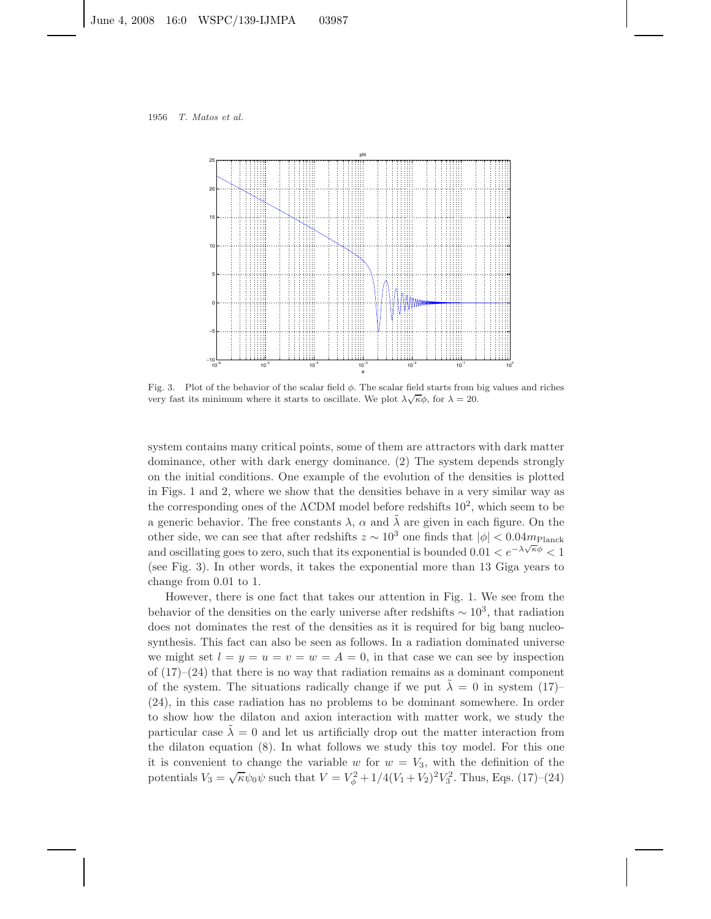

Fig. 3. Plot of the behavior of the scalar field  $\phi$ . The scalar field starts from big values and riches very fast its minimum where it starts to oscillate. We plot  $\lambda \sqrt{\kappa} \phi$ , for  $\lambda = 20$ .

system contains many critical points, some of them are attractors with dark matter dominance, other with dark energy dominance. (2) The system depends strongly on the initial conditions. One example of the evolution of the densities is plotted in Figs. 1 and 2, where we show that the densities behave in a very similar way as the corresponding ones of the  $\Lambda$ CDM model before redshifts  $10^2$ , which seem to be a generic behavior. The free constants  $\lambda$ ,  $\alpha$  and  $\lambda$  are given in each figure. On the other side, we can see that after redshifts  $z \sim 10^3$  one finds that  $|\phi| < 0.04 m_{\text{Planck}}$ and oscillating goes to zero, such that its exponential is bounded  $0.01 < e^{-\lambda \sqrt{\kappa} \phi} < 1$ (see Fig. 3). In other words, it takes the exponential more than 13 Giga years to change from 0.01 to 1.

However, there is one fact that takes our attention in Fig. 1. We see from the behavior of the densities on the early universe after redshifts  $\sim 10^3$ , that radiation does not dominates the rest of the densities as it is required for big bang nucleosynthesis. This fact can also be seen as follows. In a radiation dominated universe we might set  $l = y = u = v = w = A = 0$ , in that case we can see by inspection of  $(17)–(24)$  that there is no way that radiation remains as a dominant component of the system. The situations radically change if we put  $\lambda = 0$  in system (17)– (24), in this case radiation has no problems to be dominant somewhere. In order to show how the dilaton and axion interaction with matter work, we study the particular case  $\tilde{\lambda} = 0$  and let us artificially drop out the matter interaction from the dilaton equation (8). In what follows we study this toy model. For this one it is convenient to change the variable  $w$  for  $w = V_3$ , with the definition of the potentials  $V_3 = \sqrt{\kappa} \psi_0 \psi$  such that  $V = V_\phi^2 + 1/4(V_1 + V_2)^2 V_3^2$ . Thus, Eqs. (17)–(24)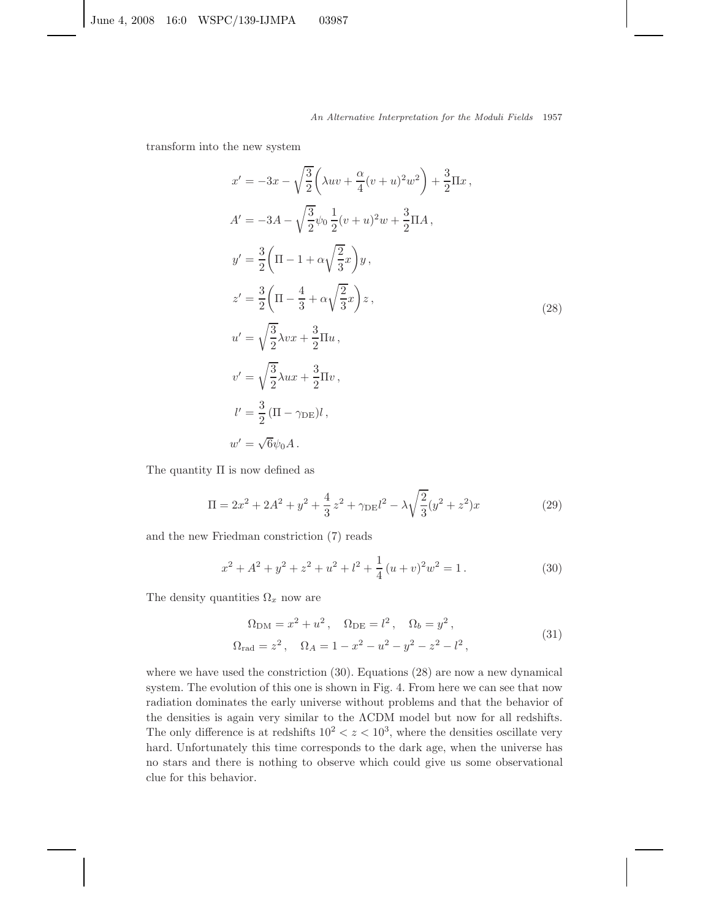transform into the new system

$$
x' = -3x - \sqrt{\frac{3}{2}} \left( \lambda uv + \frac{\alpha}{4} (v+u)^2 w^2 \right) + \frac{3}{2} \Pi x ,
$$
  
\n
$$
A' = -3A - \sqrt{\frac{3}{2}} \psi_0 \frac{1}{2} (v+u)^2 w + \frac{3}{2} \Pi A ,
$$
  
\n
$$
y' = \frac{3}{2} \left( \Pi - 1 + \alpha \sqrt{\frac{2}{3}} x \right) y ,
$$
  
\n
$$
z' = \frac{3}{2} \left( \Pi - \frac{4}{3} + \alpha \sqrt{\frac{2}{3}} x \right) z ,
$$
  
\n
$$
u' = \sqrt{\frac{3}{2}} \lambda v x + \frac{3}{2} \Pi u ,
$$
  
\n
$$
v' = \sqrt{\frac{3}{2}} \lambda u x + \frac{3}{2} \Pi v ,
$$
  
\n
$$
l' = \frac{3}{2} \left( \Pi - \gamma_{DE} \right) l ,
$$
  
\n
$$
u'' = \sqrt{6} \psi_0 A .
$$
  
\n(28)

The quantity Π is now defined as

$$
\Pi = 2x^2 + 2A^2 + y^2 + \frac{4}{3}z^2 + \gamma_{\text{DE}}l^2 - \lambda \sqrt{\frac{2}{3}}(y^2 + z^2)x \tag{29}
$$

and the new Friedman constriction (7) reads

$$
x^{2} + A^{2} + y^{2} + z^{2} + u^{2} + l^{2} + \frac{1}{4}(u+v)^{2}w^{2} = 1.
$$
 (30)

The density quantities  $\Omega_x$  now are

$$
\Omega_{\rm DM} = x^2 + u^2, \quad \Omega_{\rm DE} = l^2, \quad \Omega_b = y^2, \n\Omega_{\rm rad} = z^2, \quad \Omega_A = 1 - x^2 - u^2 - y^2 - z^2 - l^2,
$$
\n(31)

where we have used the constriction (30). Equations (28) are now a new dynamical system. The evolution of this one is shown in Fig. 4. From here we can see that now radiation dominates the early universe without problems and that the behavior of the densities is again very similar to the ΛCDM model but now for all redshifts. The only difference is at redshifts  $10^2 < z < 10^3$ , where the densities oscillate very hard. Unfortunately this time corresponds to the dark age, when the universe has no stars and there is nothing to observe which could give us some observational clue for this behavior.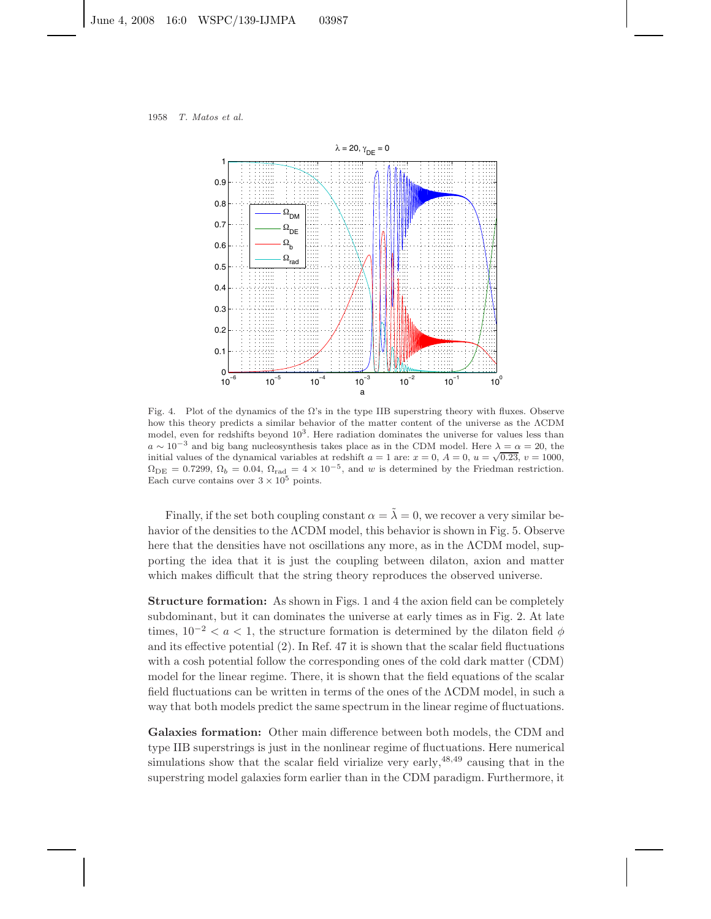

Fig. 4. Plot of the dynamics of the  $\Omega$ 's in the type IIB superstring theory with fluxes. Observe how this theory predicts a similar behavior of the matter content of the universe as the ΛCDM model, even for redshifts beyond  $10<sup>3</sup>$ . Here radiation dominates the universe for values less than  $a \sim 10^{-3}$  and big bang nucleosynthesis takes place as in the CDM model. Here  $\lambda = \alpha = 20$ , the initial values of the dynamical variables at redshift  $a = 1$  are:  $x = 0$ ,  $A = 0$ ,  $u = \sqrt{0.23}$ ,  $v = 1000$ ,  $\Omega_{\text{DE}} = 0.7299, \Omega_b = 0.04, \Omega_{\text{rad}} = 4 \times 10^{-5}$ , and w is determined by the Friedman restriction. Each curve contains over  $3 \times 10^5$  points.

Finally, if the set both coupling constant  $\alpha = \tilde{\lambda} = 0$ , we recover a very similar behavior of the densities to the ΛCDM model, this behavior is shown in Fig. 5. Observe here that the densities have not oscillations any more, as in the ΛCDM model, supporting the idea that it is just the coupling between dilaton, axion and matter which makes difficult that the string theory reproduces the observed universe.

**Structure formation:** As shown in Figs. 1 and 4 the axion field can be completely subdominant, but it can dominates the universe at early times as in Fig. 2. At late times,  $10^{-2} < a < 1$ , the structure formation is determined by the dilaton field  $\phi$ and its effective potential  $(2)$ . In Ref. 47 it is shown that the scalar field fluctuations with a cosh potential follow the corresponding ones of the cold dark matter (CDM) model for the linear regime. There, it is shown that the field equations of the scalar field fluctuations can be written in terms of the ones of the ΛCDM model, in such a way that both models predict the same spectrum in the linear regime of fluctuations.

**Galaxies formation:** Other main difference between both models, the CDM and type IIB superstrings is just in the nonlinear regime of fluctuations. Here numerical simulations show that the scalar field virialize very early,  $48,49$  causing that in the superstring model galaxies form earlier than in the CDM paradigm. Furthermore, it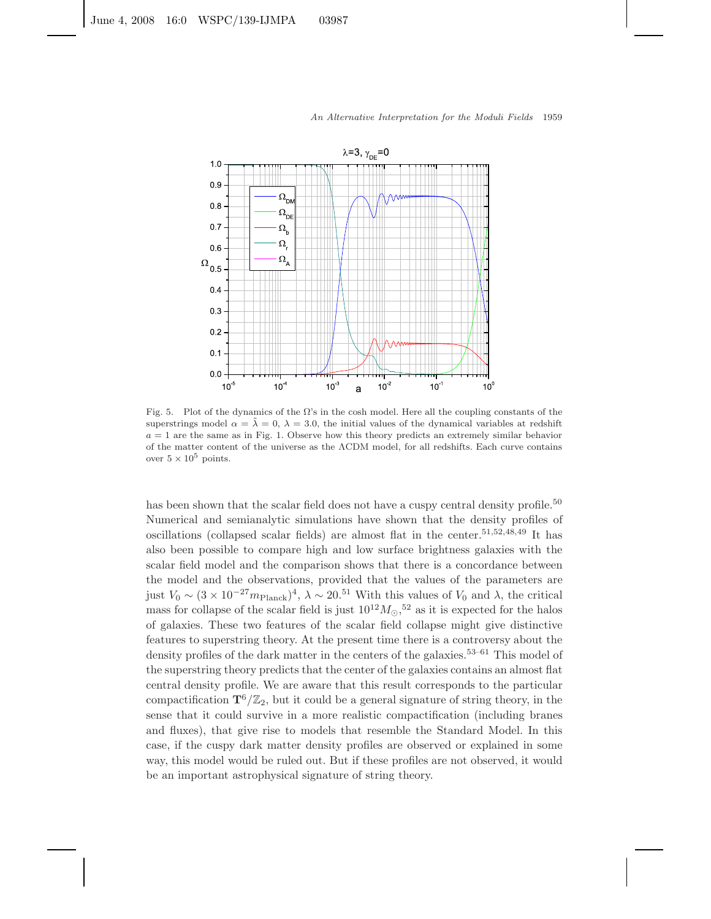

Fig. 5. Plot of the dynamics of the  $\Omega$ 's in the cosh model. Here all the coupling constants of the superstrings model  $\alpha = \lambda = 0$ ,  $\lambda = 3.0$ , the initial values of the dynamical variables at redshift  $a = 1$  are the same as in Fig. 1. Observe how this theory predicts an extremely similar behavior of the matter content of the universe as the ΛCDM model, for all redshifts. Each curve contains over  $5 \times 10^5$  points.

has been shown that the scalar field does not have a cuspy central density profile.<sup>50</sup> Numerical and semianalytic simulations have shown that the density profiles of oscillations (collapsed scalar fields) are almost flat in the center.<sup>51,52,48,49</sup> It has also been possible to compare high and low surface brightness galaxies with the scalar field model and the comparison shows that there is a concordance between the model and the observations, provided that the values of the parameters are just  $V_0 \sim (3 \times 10^{-27} m_{\text{Planck}})^4$ ,  $\lambda \sim 20^{51}$  With this values of  $V_0$  and  $\lambda$ , the critical mass for collapse of the scalar field is just  $10^{12}M_{\odot}$ ,<sup>52</sup> as it is expected for the halos of galaxies. These two features of the scalar field collapse might give distinctive features to superstring theory. At the present time there is a controversy about the density profiles of the dark matter in the centers of the galaxies.<sup>53–61</sup> This model of the superstring theory predicts that the center of the galaxies contains an almost flat central density profile. We are aware that this result corresponds to the particular compactification  $\mathbf{T}^6/\mathbb{Z}_2$ , but it could be a general signature of string theory, in the sense that it could survive in a more realistic compactification (including branes and fluxes), that give rise to models that resemble the Standard Model. In this case, if the cuspy dark matter density profiles are observed or explained in some way, this model would be ruled out. But if these profiles are not observed, it would be an important astrophysical signature of string theory.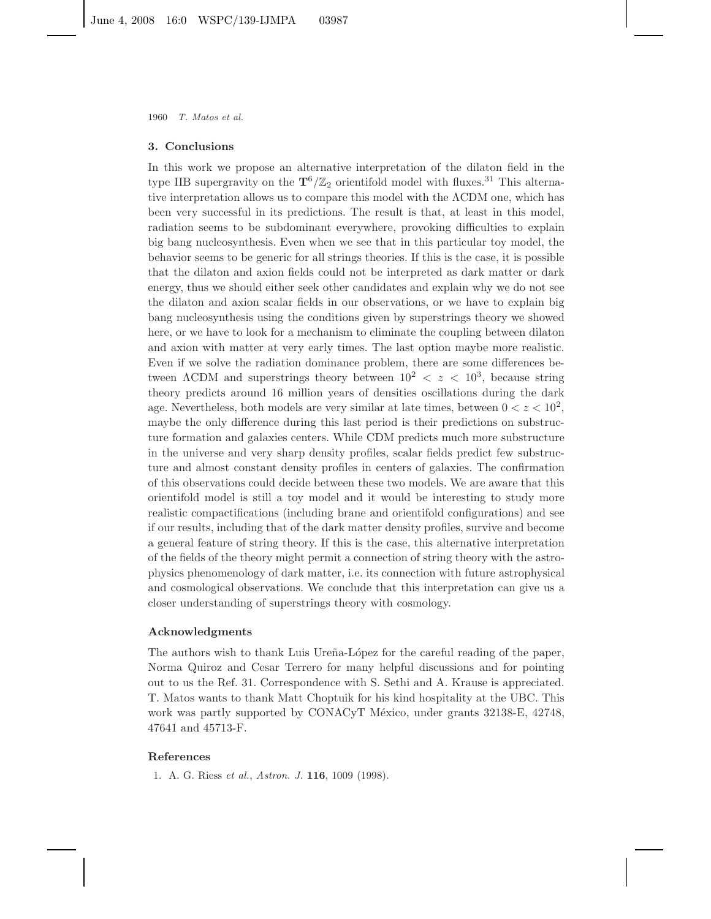#### **3. Conclusions**

In this work we propose an alternative interpretation of the dilaton field in the type IIB supergravity on the  $\mathbf{T}^6/\mathbb{Z}_2$  orientifold model with fluxes.<sup>31</sup> This alternative interpretation allows us to compare this model with the ΛCDM one, which has been very successful in its predictions. The result is that, at least in this model, radiation seems to be subdominant everywhere, provoking difficulties to explain big bang nucleosynthesis. Even when we see that in this particular toy model, the behavior seems to be generic for all strings theories. If this is the case, it is possible that the dilaton and axion fields could not be interpreted as dark matter or dark energy, thus we should either seek other candidates and explain why we do not see the dilaton and axion scalar fields in our observations, or we have to explain big bang nucleosynthesis using the conditions given by superstrings theory we showed here, or we have to look for a mechanism to eliminate the coupling between dilaton and axion with matter at very early times. The last option maybe more realistic. Even if we solve the radiation dominance problem, there are some differences between  $\Lambda$ CDM and superstrings theory between  $10^2 < z < 10^3$ , because string theory predicts around 16 million years of densities oscillations during the dark age. Nevertheless, both models are very similar at late times, between  $0 < z < 10^2$ , maybe the only difference during this last period is their predictions on substructure formation and galaxies centers. While CDM predicts much more substructure in the universe and very sharp density profiles, scalar fields predict few substructure and almost constant density profiles in centers of galaxies. The confirmation of this observations could decide between these two models. We are aware that this orientifold model is still a toy model and it would be interesting to study more realistic compactifications (including brane and orientifold configurations) and see if our results, including that of the dark matter density profiles, survive and become a general feature of string theory. If this is the case, this alternative interpretation of the fields of the theory might permit a connection of string theory with the astrophysics phenomenology of dark matter, i.e. its connection with future astrophysical and cosmological observations. We conclude that this interpretation can give us a closer understanding of superstrings theory with cosmology.

# **Acknowledgments**

The authors wish to thank Luis Ureña-López for the careful reading of the paper, Norma Quiroz and Cesar Terrero for many helpful discussions and for pointing out to us the Ref. 31. Correspondence with S. Sethi and A. Krause is appreciated. T. Matos wants to thank Matt Choptuik for his kind hospitality at the UBC. This work was partly supported by CONACyT México, under grants 32138-E, 42748, 47641 and 45713-F.

## **References**

1. A. G. Riess *et al.*, *Astron. J.* **116**, 1009 (1998).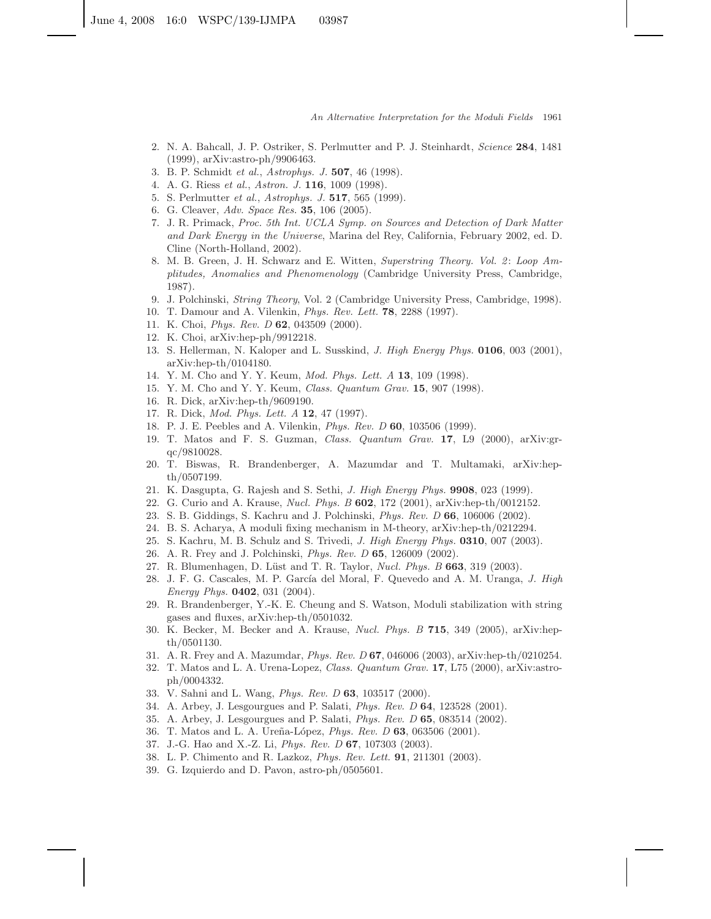- 2. N. A. Bahcall, J. P. Ostriker, S. Perlmutter and P. J. Steinhardt, *Science* **284**, 1481 (1999), arXiv:astro-ph/9906463.
- 3. B. P. Schmidt *et al.*, *Astrophys. J.* **507**, 46 (1998).
- 4. A. G. Riess *et al.*, *Astron. J.* **116**, 1009 (1998).
- 5. S. Perlmutter *et al.*, *Astrophys. J.* **517**, 565 (1999).
- 6. G. Cleaver, *Adv. Space Res.* **35**, 106 (2005).
- 7. J. R. Primack, *Proc. 5th Int. UCLA Symp. on Sources and Detection of Dark Matter and Dark Energy in the Universe*, Marina del Rey, California, February 2002, ed. D. Cline (North-Holland, 2002).
- 8. M. B. Green, J. H. Schwarz and E. Witten, *Superstring Theory. Vol. 2*: *Loop Amplitudes, Anomalies and Phenomenology* (Cambridge University Press, Cambridge, 1987).
- 9. J. Polchinski, *String Theory*, Vol. 2 (Cambridge University Press, Cambridge, 1998).
- 10. T. Damour and A. Vilenkin, *Phys. Rev. Lett.* **78**, 2288 (1997).
- 11. K. Choi, *Phys. Rev. D* **62**, 043509 (2000).
- 12. K. Choi, arXiv:hep-ph/9912218.
- 13. S. Hellerman, N. Kaloper and L. Susskind, *J. High Energy Phys.* **0106**, 003 (2001), arXiv:hep-th/0104180.
- 14. Y. M. Cho and Y. Y. Keum, *Mod. Phys. Lett. A* **13**, 109 (1998).
- 15. Y. M. Cho and Y. Y. Keum, *Class. Quantum Grav.* **15**, 907 (1998).
- 16. R. Dick, arXiv:hep-th/9609190.
- 17. R. Dick, *Mod. Phys. Lett. A* **12**, 47 (1997).
- 18. P. J. E. Peebles and A. Vilenkin, *Phys. Rev. D* **60**, 103506 (1999).
- 19. T. Matos and F. S. Guzman, *Class. Quantum Grav.* **17**, L9 (2000), arXiv:grqc/9810028.
- 20. T. Biswas, R. Brandenberger, A. Mazumdar and T. Multamaki, arXiv:hepth/0507199.
- 21. K. Dasgupta, G. Rajesh and S. Sethi, *J. High Energy Phys.* **9908**, 023 (1999).
- 22. G. Curio and A. Krause, *Nucl. Phys. B* **602**, 172 (2001), arXiv:hep-th/0012152.
- 23. S. B. Giddings, S. Kachru and J. Polchinski, *Phys. Rev. D* **66**, 106006 (2002).
- 24. B. S. Acharya, A moduli fixing mechanism in M-theory, arXiv:hep-th/0212294.
- 25. S. Kachru, M. B. Schulz and S. Trivedi, *J. High Energy Phys.* **0310**, 007 (2003).
- 26. A. R. Frey and J. Polchinski, *Phys. Rev. D* **65**, 126009 (2002).
- 27. R. Blumenhagen, D. L¨ust and T. R. Taylor, *Nucl. Phys. B* **663**, 319 (2003).
- 28. J. F. G. Cascales, M. P. García del Moral, F. Quevedo and A. M. Uranga, *J. High Energy Phys.* **0402**, 031 (2004).
- 29. R. Brandenberger, Y.-K. E. Cheung and S. Watson, Moduli stabilization with string gases and fluxes, arXiv:hep-th/0501032.
- 30. K. Becker, M. Becker and A. Krause, *Nucl. Phys. B* **715**, 349 (2005), arXiv:hepth/0501130.
- 31. A. R. Frey and A. Mazumdar, *Phys. Rev. D* **67**, 046006 (2003), arXiv:hep-th/0210254.
- 32. T. Matos and L. A. Urena-Lopez, *Class. Quantum Grav.* **17**, L75 (2000), arXiv:astroph/0004332.
- 33. V. Sahni and L. Wang, *Phys. Rev. D* **63**, 103517 (2000).
- 34. A. Arbey, J. Lesgourgues and P. Salati, *Phys. Rev. D* **64**, 123528 (2001).
- 35. A. Arbey, J. Lesgourgues and P. Salati, *Phys. Rev. D* **65**, 083514 (2002).
- 36. T. Matos and L. A. Ure˜na-L´opez, *Phys. Rev. D* **63**, 063506 (2001).
- 37. J.-G. Hao and X.-Z. Li, *Phys. Rev. D* **67**, 107303 (2003).
- 38. L. P. Chimento and R. Lazkoz, *Phys. Rev. Lett.* **91**, 211301 (2003).
- 39. G. Izquierdo and D. Pavon, astro-ph/0505601.